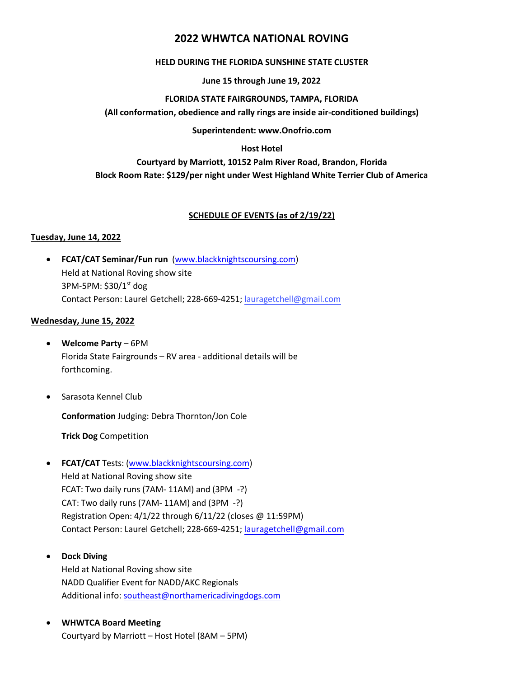# **2022 WHWTCA NATIONAL ROVING**

## **HELD DURING THE FLORIDA SUNSHINE STATE CLUSTER**

#### **June 15 through June 19, 2022**

#### **FLORIDA STATE FAIRGROUNDS, TAMPA, FLORIDA**

**(All conformation, obedience and rally rings are inside air-conditioned buildings)**

**Superintendent: www.Onofrio.com**

## **Host Hotel**

# **Courtyard by Marriott, 10152 Palm River Road, Brandon, Florida Block Room Rate: \$129/per night under West Highland White Terrier Club of America**

## **SCHEDULE OF EVENTS (as of 2/19/22)**

#### **Tuesday, June 14, 2022**

• **FCAT/CAT Seminar/Fun run** [\(www.blackknightscoursing.com\)](http://www.blackknightscoursing.com/) Held at National Roving show site 3PM-5PM: \$30/1st dog Contact Person: Laurel Getchell; 228-669-4251; lauragetchell@gmail.com

#### **Wednesday, June 15, 2022**

- **Welcome Party** 6PM Florida State Fairgrounds – RV area - additional details will be forthcoming.
- Sarasota Kennel Club

**Conformation** Judging: Debra Thornton/Jon Cole

**Trick Dog** Competition

- **FCAT/CAT** Tests: [\(www.blackknightscoursing.com\)](http://www.blackknightscoursing.com/) Held at National Roving show site FCAT: Two daily runs (7AM- 11AM) and (3PM -?) CAT: Two daily runs (7AM- 11AM) and (3PM -?) Registration Open: 4/1/22 through 6/11/22 (clo[ses @ 11:59PM\)](mailto:lauragetchell@gmail.com) Contact Person: Laurel Getchell; 228-669-4251; lauragetchell@gmail.com
- **Dock Diving**

Held at National Roving show site NADD Qualifier [Event for NADD/AKC Regionals](mailto:southeast@northamericadivingdogs.com) Additional info: southeast@northamericadivingdogs.com

• **WHWTCA Board Meeting** Courtyard by Marriott – Host Hotel (8AM – 5PM)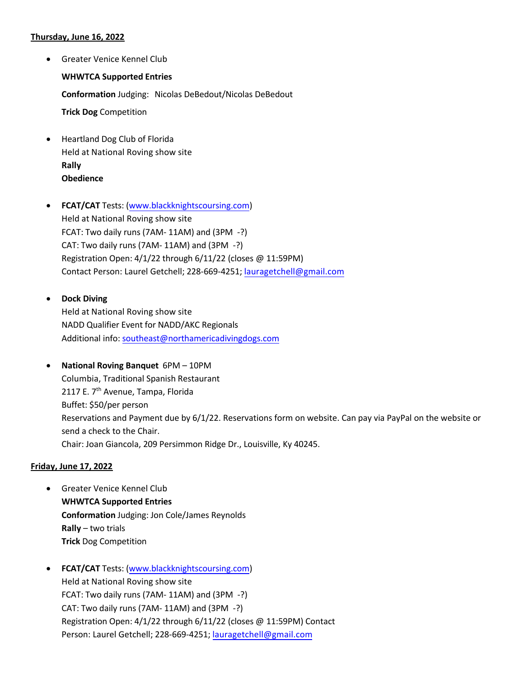## **Thursday, June 16, 2022**

- Greater Venice Kennel Club **WHWTCA Supported Entries Conformation** Judging: Nicolas DeBedout/Nicolas DeBedout **Trick Dog** Competition
- Heartland Dog Club of Florida Held at National Roving show site **Rally Obedience**
- **FCAT/CAT** Tests: [\(www.blackknightscoursing.com\)](http://www.blackknightscoursing.com/) Held at National Roving show site FCAT: Two daily runs (7AM- 11AM) and (3PM -?) CAT: Two daily runs (7AM- 11AM) and (3PM -?) Registration Open: 4/1/22 through 6/11/22 (closes @ 11:59PM) Contact Person: Laurel Getchell; 228-669-4251; [lauragetchell@gmail.com](mailto:lauragetchell@gmail.com)
- **Dock Diving**

Held at National Roving show site NADD Qualifier Event for NADD/AKC Regionals Additional info: [southeast@northamericadivingdogs.com](mailto:southeast@northamericadivingdogs.com)

• **National Roving Banquet** 6PM – 10PM Columbia, Traditional Spanish Restaurant 2117 E. 7<sup>th</sup> Avenue, Tampa, Florida Buffet: \$50/per person Reservations and Payment due by 6/1/22. Reservations form on website. Can pay via PayPal on the website or send a check to the Chair. Chair: Joan Giancola, 209 Persimmon Ridge Dr., Louisville, Ky 40245.

## **Friday, June 17, 2022**

- Greater Venice Kennel Club **WHWTCA Supported Entries Conformation** Judging: Jon Cole/James Reynolds **Rally** – two trials **Trick** Dog Competition
- **FCAT/CAT** Tests: [\(www.blackknightscoursing.com\)](http://www.blackknightscoursing.com/) Held at National Roving show site FCAT: Two daily runs (7AM- 11AM) and (3PM -?) CAT: Two daily runs (7AM- 11AM) and (3PM -?) Registration Open: 4/1/22 through 6/11/22 (closes @ 11:59PM) Contact Person: Laurel Getchell; 228-669-4251; laurage[tchell@gmail.com](mailto:lauragetchell@gmail.com)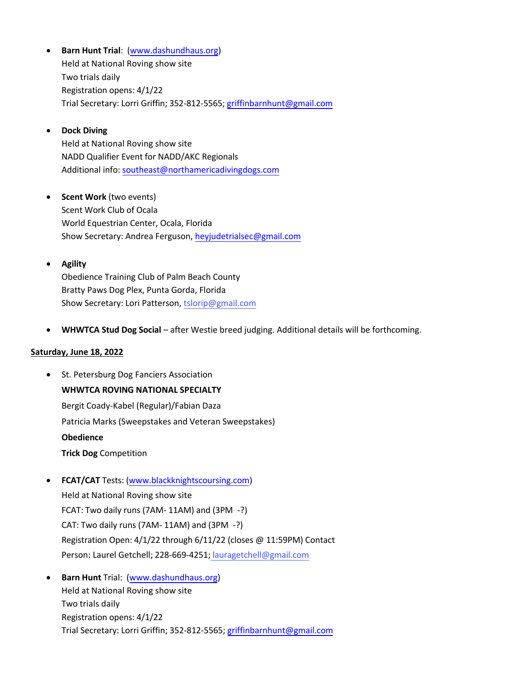- **Barn Hunt Trial**: [\(www.dashundhaus.org\)](http://www.dashundhaus.org/) Held at National Roving show site Two trials daily Registration opens: 4/1/22 Trial Secretary: Lorri Griffin; 352-812-5565; [griffinbarnhunt@gmail.com](mailto:griffinbarnhunt@gmail.com)
- **Dock Diving**

Held at National Roving show site NADD Qualifier Event for NADD/AKC Regionals Additional info: [southeast@northamericadivingdogs.com](mailto:southeast@northamericadivingdogs.com)

- **Scent Work** (two events) Scent Work Club of Ocala World Equestrian Center, Ocala, Florida Show Secretary: Andrea Ferguson, [heyjudetrialsec@gmail.com](mailto:heyjudetrialsec@gmail.com)
- **Agility**

Obedience Training Club of Palm Beach County Bratty Paws Dog Plex, Punta Gorda, Florida Show Secretary: Lori Patterson, tslorip@gmail.com

• **WHWTCA Stud Dog Social** – after Westie breed judging. Additional details will be forthcoming.

## **Saturday, June 18, 2022**

- St. Petersburg Dog Fanciers Association **WHWTCA ROVING NATIONAL SPECIALTY** Bergit Coady-Kabel (Regular)/Fabian Daza Patricia Marks (Sweepstakes and Veteran Sweepstakes) **Obedience Trick Dog** Competition
- **FCAT/CAT** Tests: [\(www.blackknightscoursing.com\)](http://www.blackknightscoursing.com/)

Held at National Roving show site FCAT: Two daily runs (7AM- 11AM) and (3PM -?) CAT: Two daily runs (7AM- 11AM) and (3PM -?) Registration Open: 4/1/22 through 6/11/22 (closes @ 11:59PM) Contact Person: Laurel Getchell; 228-669-4251; lauragetchell@gmail.com

• **Barn Hunt** Trial: [\(www.dashundhaus.org\)](http://www.dashundhaus.org/) Held at National Roving show site Two trials daily Registration opens: 4/1/22 Trial Secretary: Lorri Griffin; 352-812-5565; [griffinbarnhunt@gmail.com](mailto:griffinbarnhunt@gmail.com)